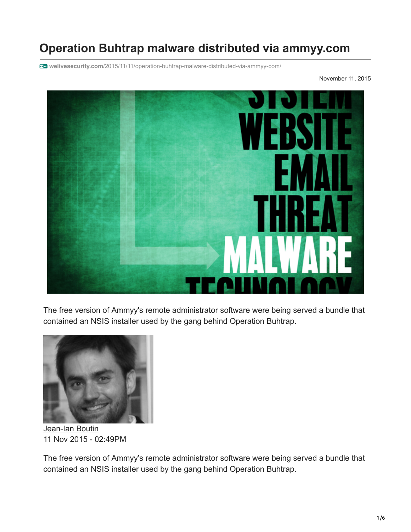## **Operation Buhtrap malware distributed via ammyy.com**

**welivesecurity.com**[/2015/11/11/operation-buhtrap-malware-distributed-via-ammyy-com/](https://www.welivesecurity.com/2015/11/11/operation-buhtrap-malware-distributed-via-ammyy-com/)

November 11, 2015



The free version of Ammyy's remote administrator software were being served a bundle that contained an NSIS installer used by the gang behind Operation Buhtrap.



[Jean-Ian Boutin](https://www.welivesecurity.com/author/boutin/) 11 Nov 2015 - 02:49PM

The free version of Ammyy's remote administrator software were being served a bundle that contained an NSIS installer used by the gang behind Operation Buhtrap.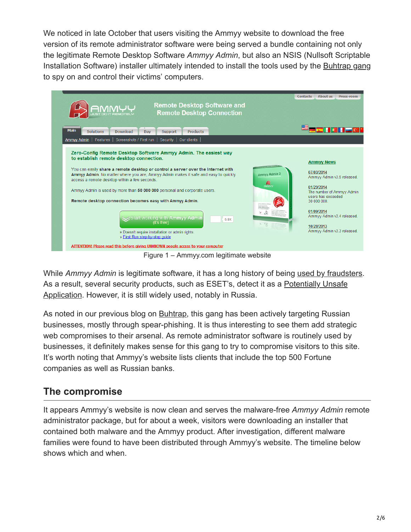We noticed in late October that users visiting the Ammyy website to download the free version of its remote administrator software were being served a bundle containing not only the legitimate Remote Desktop Software *Ammyy Admin*, but also an NSIS (Nullsoft Scriptable Installation Software) installer ultimately intended to install the tools used by the [Buhtrap gang](https://www.welivesecurity.com/2015/04/09/operation-buhtrap/) to spy on and control their victims' computers.



Figure 1 – Ammyy.com legitimate website

While *Ammyy Admin* is legitimate software, it has a long history of being [used by fraudsters](https://www.welivesecurity.com/2012/08/24/ammyy-warning-against-tech-support-scams/). [As a result, several security products, such as ESET's, detect it as a Potentially Unsafe](http://www.virusradar.com/en/glossary/pua) Application. However, it is still widely used, notably in Russia.

As noted in our previous blog on **[Buhtrap](https://www.welivesecurity.com/2015/04/09/operation-buhtrap/)**, this gang has been actively targeting Russian businesses, mostly through spear-phishing. It is thus interesting to see them add strategic web compromises to their arsenal. As remote administrator software is routinely used by businesses, it definitely makes sense for this gang to try to compromise visitors to this site. It's worth noting that Ammyy's website lists clients that include the top 500 Fortune companies as well as Russian banks.

## **The compromise**

It appears Ammyy's website is now clean and serves the malware-free *Ammyy Admin* remote administrator package, but for about a week, visitors were downloading an installer that contained both malware and the Ammyy product. After investigation, different malware families were found to have been distributed through Ammyy's website. The timeline below shows which and when.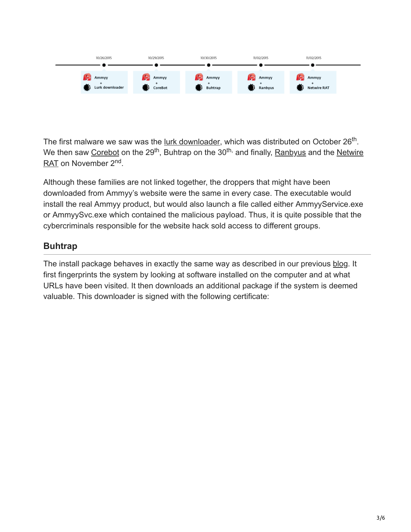| 10/26/2015                         | 10/29/2015                               | 10/30/2015       | 11/02/2015       | 11/02/2015                  |  |
|------------------------------------|------------------------------------------|------------------|------------------|-----------------------------|--|
| Ammyy<br>$\geq$<br>Lurk downloader | Ammyy<br><b>All Contracts</b><br>CoreBot | Ammyy<br>Buhtrap | Ammyy<br>Ranbyus | Ammyy<br><b>Netwire RAT</b> |  |

The first malware we saw was the [lurk downloader,](http://www.secureworks.com/cyber-threat-intelligence/threats/malware-analysis-of-the-lurk-downloader/) which was distributed on October 26<sup>th</sup>. We then saw [Corebot](https://securityintelligence.com/watch-out-for-corebot-new-stealer-in-the-wild/) on the 29<sup>th</sup>, Buhtrap on the 30<sup>th,</sup> and finally, Ranbyus and the Netwire RAT on November 2<sup>nd</sup>.

Although these families are not linked together, the droppers that might have been downloaded from Ammyy's website were the same in every case. The executable would install the real Ammyy product, but would also launch a file called either AmmyyService.exe or AmmyySvc.exe which contained the malicious payload. Thus, it is quite possible that the cybercriminals responsible for the website hack sold access to different groups.

## **Buhtrap**

The install package behaves in exactly the same way as described in our previous [blog](https://www.welivesecurity.com/2015/04/09/operation-buhtrap/). It first fingerprints the system by looking at software installed on the computer and at what URLs have been visited. It then downloads an additional package if the system is deemed valuable. This downloader is signed with the following certificate: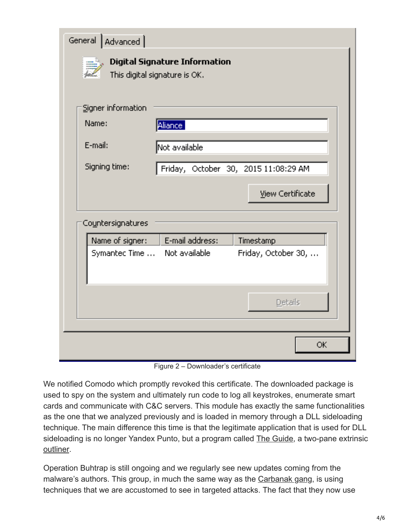| General   Advanced           |                                                                       |                                      |
|------------------------------|-----------------------------------------------------------------------|--------------------------------------|
|                              | <b>Digital Signature Information</b><br>This digital signature is OK. |                                      |
| Signer information           |                                                                       |                                      |
| Name:                        | Aliance:                                                              |                                      |
| E-mail:                      | Mot available.                                                        |                                      |
| Signing time:                |                                                                       | Friday, October 30, 2015 11:08:29 AM |
|                              |                                                                       | <b>View Certificate</b>              |
| Countersignatures            |                                                                       |                                      |
| Name of signer:              | E-mail address:                                                       | Timestamp                            |
| Symantec Time  Not available |                                                                       | Friday, October 30,                  |
|                              |                                                                       | Details                              |
|                              |                                                                       | OK.                                  |

Figure 2 – Downloader's certificate

We notified Comodo which promptly revoked this certificate. The downloaded package is used to spy on the system and ultimately run code to log all keystrokes, enumerate smart cards and communicate with C&C servers. This module has exactly the same functionalities as the one that we analyzed previously and is loaded in memory through a DLL sideloading technique. The main difference this time is that the legitimate application that is used for DLL sideloading is no longer Yandex Punto, but a program called [The Guide](http://theguide.sourceforge.net/), a two-pane extrinsic [outliner](https://en.wikipedia.org/wiki/Outliner).

Operation Buhtrap is still ongoing and we regularly see new updates coming from the malware's authors. This group, in much the same way as the [Carbanak gang](https://www.welivesecurity.com/2015/09/08/carbanak-gang-is-back-and-packing-new-guns/), is using techniques that we are accustomed to see in targeted attacks. The fact that they now use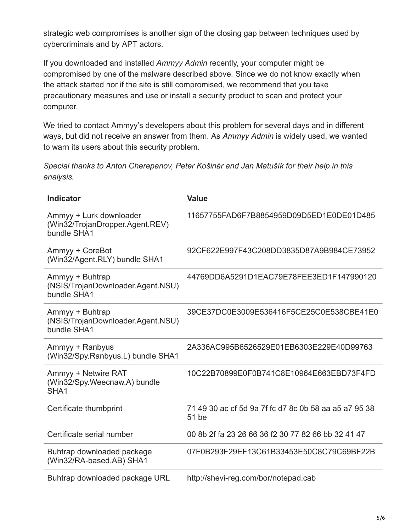strategic web compromises is another sign of the closing gap between techniques used by cybercriminals and by APT actors.

If you downloaded and installed *Ammyy Admin* recently, your computer might be compromised by one of the malware described above. Since we do not know exactly when the attack started nor if the site is still compromised, we recommend that you take precautionary measures and use or install a security product to scan and protect your computer.

We tried to contact Ammyy's developers about this problem for several days and in different ways, but did not receive an answer from them. As *Ammyy Admin* is widely used, we wanted to warn its users about this security problem.

*Special thanks to Anton Cherepanov, Peter Košinár and Jan Matušík for their help in this analysis.*

| <b>Indicator</b>                                                          | <b>Value</b>                                                   |
|---------------------------------------------------------------------------|----------------------------------------------------------------|
| Ammyy + Lurk downloader<br>(Win32/TrojanDropper.Agent.REV)<br>bundle SHA1 | 11657755FAD6F7B8854959D09D5ED1E0DE01D485                       |
| Ammyy + CoreBot<br>(Win32/Agent.RLY) bundle SHA1                          | 92CF622E997F43C208DD3835D87A9B984CE73952                       |
| Ammyy + Buhtrap<br>(NSIS/TrojanDownloader.Agent.NSU)<br>bundle SHA1       | 44769DD6A5291D1EAC79E78FEE3ED1F147990120                       |
| Ammyy + Buhtrap<br>(NSIS/TrojanDownloader.Agent.NSU)<br>bundle SHA1       | 39CE37DC0E3009E536416F5CE25C0E538CBE41E0                       |
| Ammyy + Ranbyus<br>(Win32/Spy.Ranbyus.L) bundle SHA1                      | 2A336AC995B6526529E01EB6303E229E40D99763                       |
| Ammyy + Netwire RAT<br>(Win32/Spy.Weecnaw.A) bundle<br>SHA <sub>1</sub>   | 10C22B70899E0F0B741C8E10964E663EBD73F4FD                       |
| Certificate thumbprint                                                    | 71 49 30 ac cf 5d 9a 7f fc d7 8c 0b 58 aa a5 a7 95 38<br>51 be |
| Certificate serial number                                                 | 00 8b 2f fa 23 26 66 36 f2 30 77 82 66 bb 32 41 47             |
| Buhtrap downloaded package<br>(Win32/RA-based.AB) SHA1                    | 07F0B293F29EF13C61B33453E50C8C79C69BF22B                       |
| Buhtrap downloaded package URL                                            | http://shevi-reg.com/bor/notepad.cab                           |